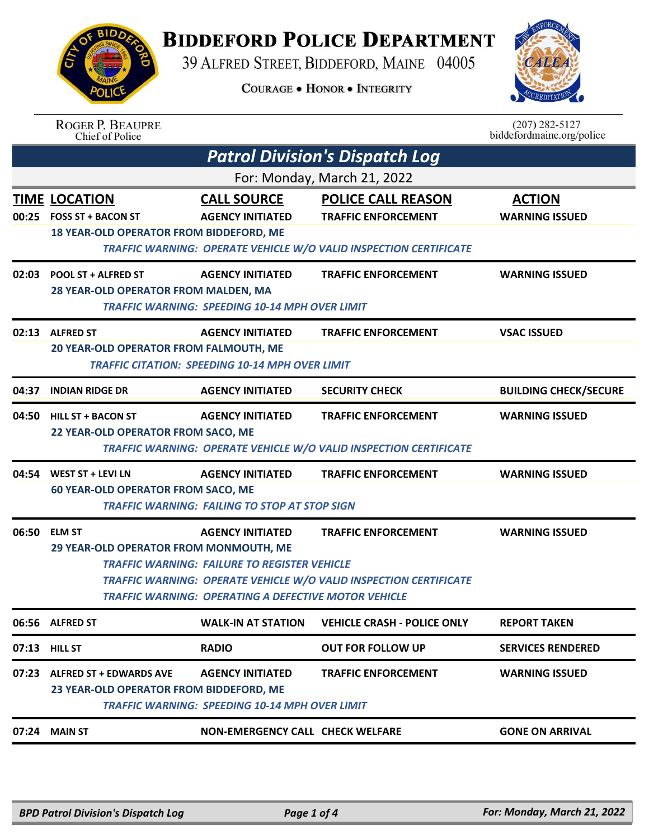## **BIDDEFORD POLICE DEPARTMENT**

39 ALFRED STREET, BIDDEFORD, MAINE 04005

**COURAGE . HONOR . INTEGRITY** 



| <b>BIDDA</b> |  |
|--------------|--|
| ING SIN      |  |
|              |  |
| a A A        |  |
|              |  |
| POLI.<br>Œ   |  |
|              |  |

|       | <b>ROGER P. BEAUPRE</b><br>Chief of Police                                                                                                                                                                                                                                                                                                 |                                                                                   |                                                                                                                                     | $(207) 282 - 5127$<br>biddefordmaine.org/police |  |
|-------|--------------------------------------------------------------------------------------------------------------------------------------------------------------------------------------------------------------------------------------------------------------------------------------------------------------------------------------------|-----------------------------------------------------------------------------------|-------------------------------------------------------------------------------------------------------------------------------------|-------------------------------------------------|--|
|       |                                                                                                                                                                                                                                                                                                                                            |                                                                                   | <b>Patrol Division's Dispatch Log</b>                                                                                               |                                                 |  |
|       | For: Monday, March 21, 2022                                                                                                                                                                                                                                                                                                                |                                                                                   |                                                                                                                                     |                                                 |  |
|       | <b>TIME LOCATION</b><br>00:25 FOSS ST + BACON ST<br>18 YEAR-OLD OPERATOR FROM BIDDEFORD, ME                                                                                                                                                                                                                                                | <b>CALL SOURCE</b><br><b>AGENCY INITIATED</b>                                     | <b>POLICE CALL REASON</b><br><b>TRAFFIC ENFORCEMENT</b><br><b>TRAFFIC WARNING: OPERATE VEHICLE W/O VALID INSPECTION CERTIFICATE</b> | <b>ACTION</b><br><b>WARNING ISSUED</b>          |  |
|       | 02:03 POOL ST + ALFRED ST<br>28 YEAR-OLD OPERATOR FROM MALDEN, MA                                                                                                                                                                                                                                                                          | <b>AGENCY INITIATED</b><br><b>TRAFFIC WARNING: SPEEDING 10-14 MPH OVER LIMIT</b>  | <b>TRAFFIC ENFORCEMENT</b>                                                                                                          | <b>WARNING ISSUED</b>                           |  |
|       | 02:13 ALFRED ST<br>20 YEAR-OLD OPERATOR FROM FALMOUTH, ME                                                                                                                                                                                                                                                                                  | <b>AGENCY INITIATED</b><br><b>TRAFFIC CITATION: SPEEDING 10-14 MPH OVER LIMIT</b> | <b>TRAFFIC ENFORCEMENT</b>                                                                                                          | <b>VSAC ISSUED</b>                              |  |
| 04:37 | <b>INDIAN RIDGE DR</b>                                                                                                                                                                                                                                                                                                                     | <b>AGENCY INITIATED</b>                                                           | <b>SECURITY CHECK</b>                                                                                                               | <b>BUILDING CHECK/SECURE</b>                    |  |
| 04:50 | <b>HILL ST + BACON ST</b><br>22 YEAR-OLD OPERATOR FROM SACO, ME                                                                                                                                                                                                                                                                            | <b>AGENCY INITIATED</b>                                                           | <b>TRAFFIC ENFORCEMENT</b><br>TRAFFIC WARNING: OPERATE VEHICLE W/O VALID INSPECTION CERTIFICATE                                     | <b>WARNING ISSUED</b>                           |  |
|       | 04:54 WEST ST + LEVI LN<br><b>60 YEAR-OLD OPERATOR FROM SACO, ME</b>                                                                                                                                                                                                                                                                       | <b>AGENCY INITIATED</b><br><b>TRAFFIC WARNING: FAILING TO STOP AT STOP SIGN</b>   | <b>TRAFFIC ENFORCEMENT</b>                                                                                                          | <b>WARNING ISSUED</b>                           |  |
|       | 06:50 ELM ST<br><b>AGENCY INITIATED</b><br><b>TRAFFIC ENFORCEMENT</b><br><b>WARNING ISSUED</b><br>29 YEAR-OLD OPERATOR FROM MONMOUTH, ME<br><b>TRAFFIC WARNING: FAILURE TO REGISTER VEHICLE</b><br><b>TRAFFIC WARNING: OPERATE VEHICLE W/O VALID INSPECTION CERTIFICATE</b><br><b>TRAFFIC WARNING: OPERATING A DEFECTIVE MOTOR VEHICLE</b> |                                                                                   |                                                                                                                                     |                                                 |  |
|       | 06:56 ALFRED ST                                                                                                                                                                                                                                                                                                                            | <b>WALK-IN AT STATION</b>                                                         | <b>VEHICLE CRASH - POLICE ONLY</b>                                                                                                  | <b>REPORT TAKEN</b>                             |  |
|       | 07:13 HILL ST                                                                                                                                                                                                                                                                                                                              | <b>RADIO</b>                                                                      | <b>OUT FOR FOLLOW UP</b>                                                                                                            | <b>SERVICES RENDERED</b>                        |  |
| 07:23 | <b>ALFRED ST + EDWARDS AVE</b><br>23 YEAR-OLD OPERATOR FROM BIDDEFORD, ME                                                                                                                                                                                                                                                                  | <b>AGENCY INITIATED</b><br><b>TRAFFIC WARNING: SPEEDING 10-14 MPH OVER LIMIT</b>  | <b>TRAFFIC ENFORCEMENT</b>                                                                                                          | <b>WARNING ISSUED</b>                           |  |
|       | 07:24 MAIN ST                                                                                                                                                                                                                                                                                                                              | <b>NON-EMERGENCY CALL CHECK WELFARE</b>                                           |                                                                                                                                     | <b>GONE ON ARRIVAL</b>                          |  |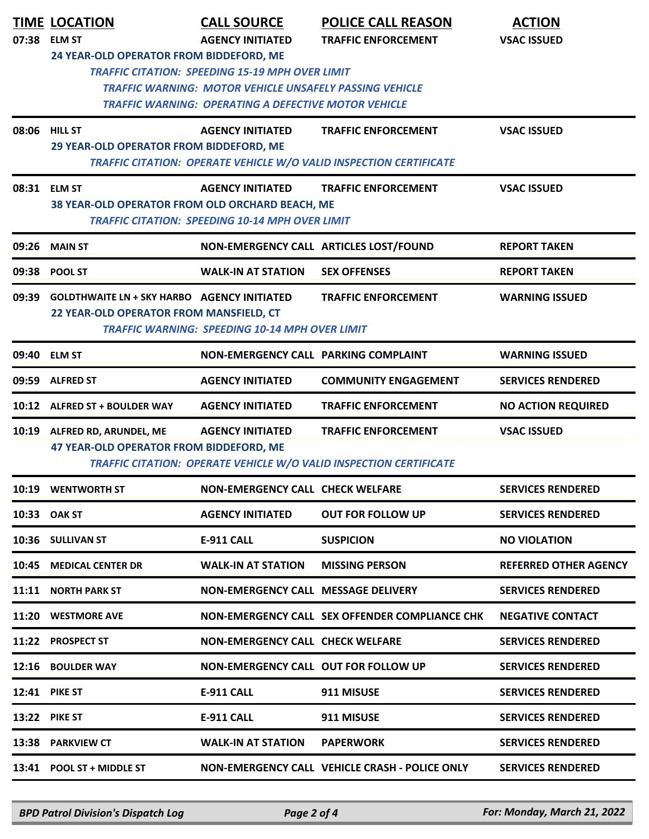| 07:38 | <b>TIME LOCATION</b><br><b>ELM ST</b><br>24 YEAR-OLD OPERATOR FROM BIDDEFORD, ME              | <b>CALL SOURCE</b><br><b>AGENCY INITIATED</b><br><b>TRAFFIC CITATION: SPEEDING 15-19 MPH OVER LIMIT</b>                       | <b>POLICE CALL REASON</b><br><b>TRAFFIC ENFORCEMENT</b>                                          | <b>ACTION</b><br><b>VSAC ISSUED</b> |
|-------|-----------------------------------------------------------------------------------------------|-------------------------------------------------------------------------------------------------------------------------------|--------------------------------------------------------------------------------------------------|-------------------------------------|
|       |                                                                                               | <b>TRAFFIC WARNING: MOTOR VEHICLE UNSAFELY PASSING VEHICLE</b><br><b>TRAFFIC WARNING: OPERATING A DEFECTIVE MOTOR VEHICLE</b> |                                                                                                  |                                     |
| 08:06 | <b>HILL ST</b><br>29 YEAR-OLD OPERATOR FROM BIDDEFORD, ME                                     | <b>AGENCY INITIATED</b>                                                                                                       | <b>TRAFFIC ENFORCEMENT</b><br>TRAFFIC CITATION: OPERATE VEHICLE W/O VALID INSPECTION CERTIFICATE | <b>VSAC ISSUED</b>                  |
| 08:31 | <b>ELM ST</b><br>38 YEAR-OLD OPERATOR FROM OLD ORCHARD BEACH, ME                              | <b>AGENCY INITIATED</b><br><b>TRAFFIC CITATION: SPEEDING 10-14 MPH OVER LIMIT</b>                                             | <b>TRAFFIC ENFORCEMENT</b>                                                                       | <b>VSAC ISSUED</b>                  |
| 09:26 | <b>MAIN ST</b>                                                                                |                                                                                                                               | NON-EMERGENCY CALL ARTICLES LOST/FOUND                                                           | <b>REPORT TAKEN</b>                 |
|       | 09:38 POOL ST                                                                                 | <b>WALK-IN AT STATION</b>                                                                                                     | <b>SEX OFFENSES</b>                                                                              | <b>REPORT TAKEN</b>                 |
| 09:39 | <b>GOLDTHWAITE LN + SKY HARBO AGENCY INITIATED</b><br>22 YEAR-OLD OPERATOR FROM MANSFIELD, CT | <b>TRAFFIC WARNING: SPEEDING 10-14 MPH OVER LIMIT</b>                                                                         | <b>TRAFFIC ENFORCEMENT</b>                                                                       | <b>WARNING ISSUED</b>               |
| 09:40 | <b>ELM ST</b>                                                                                 | NON-EMERGENCY CALL PARKING COMPLAINT                                                                                          |                                                                                                  | <b>WARNING ISSUED</b>               |
| 09:59 | <b>ALFRED ST</b>                                                                              | <b>AGENCY INITIATED</b>                                                                                                       | <b>COMMUNITY ENGAGEMENT</b>                                                                      | <b>SERVICES RENDERED</b>            |
|       | 10:12 ALFRED ST + BOULDER WAY                                                                 | <b>AGENCY INITIATED</b>                                                                                                       | <b>TRAFFIC ENFORCEMENT</b>                                                                       | <b>NO ACTION REQUIRED</b>           |
|       | 10:19 ALFRED RD, ARUNDEL, ME<br>47 YEAR-OLD OPERATOR FROM BIDDEFORD, ME                       | <b>AGENCY INITIATED</b>                                                                                                       | <b>TRAFFIC ENFORCEMENT</b><br>TRAFFIC CITATION: OPERATE VEHICLE W/O VALID INSPECTION CERTIFICATE | <b>VSAC ISSUED</b>                  |
|       | 10:19 WENTWORTH ST                                                                            | NON-EMERGENCY CALL CHECK WELFARE                                                                                              |                                                                                                  | <b>SERVICES RENDERED</b>            |
|       | 10:33 OAK ST                                                                                  | <b>AGENCY INITIATED</b>                                                                                                       | <b>OUT FOR FOLLOW UP</b>                                                                         | <b>SERVICES RENDERED</b>            |
|       | 10:36 SULLIVAN ST                                                                             | <b>E-911 CALL</b>                                                                                                             | <b>SUSPICION</b>                                                                                 | <b>NO VIOLATION</b>                 |
|       | 10:45 MEDICAL CENTER DR                                                                       | <b>WALK-IN AT STATION</b>                                                                                                     | <b>MISSING PERSON</b>                                                                            | <b>REFERRED OTHER AGENCY</b>        |
|       | 11:11 NORTH PARK ST                                                                           | NON-EMERGENCY CALL MESSAGE DELIVERY                                                                                           |                                                                                                  | <b>SERVICES RENDERED</b>            |
|       | 11:20 WESTMORE AVE                                                                            |                                                                                                                               | NON-EMERGENCY CALL SEX OFFENDER COMPLIANCE CHK                                                   | <b>NEGATIVE CONTACT</b>             |
|       | 11:22 PROSPECT ST                                                                             | <b>NON-EMERGENCY CALL CHECK WELFARE</b>                                                                                       |                                                                                                  | <b>SERVICES RENDERED</b>            |
|       | 12:16 BOULDER WAY                                                                             | NON-EMERGENCY CALL OUT FOR FOLLOW UP                                                                                          |                                                                                                  | <b>SERVICES RENDERED</b>            |
|       | <b>12:41 PIKE ST</b>                                                                          | <b>E-911 CALL</b>                                                                                                             | 911 MISUSE                                                                                       | <b>SERVICES RENDERED</b>            |
|       | <b>13:22 PIKE ST</b>                                                                          | <b>E-911 CALL</b>                                                                                                             | 911 MISUSE                                                                                       | <b>SERVICES RENDERED</b>            |
|       | 13:38 PARKVIEW CT                                                                             | <b>WALK-IN AT STATION</b>                                                                                                     | <b>PAPERWORK</b>                                                                                 | <b>SERVICES RENDERED</b>            |
|       | 13:41 POOL ST + MIDDLE ST                                                                     |                                                                                                                               | NON-EMERGENCY CALL VEHICLE CRASH - POLICE ONLY                                                   | <b>SERVICES RENDERED</b>            |

*BPD Patrol Division's Dispatch Log Page 2 of 4 For: Monday, March 21, 2022*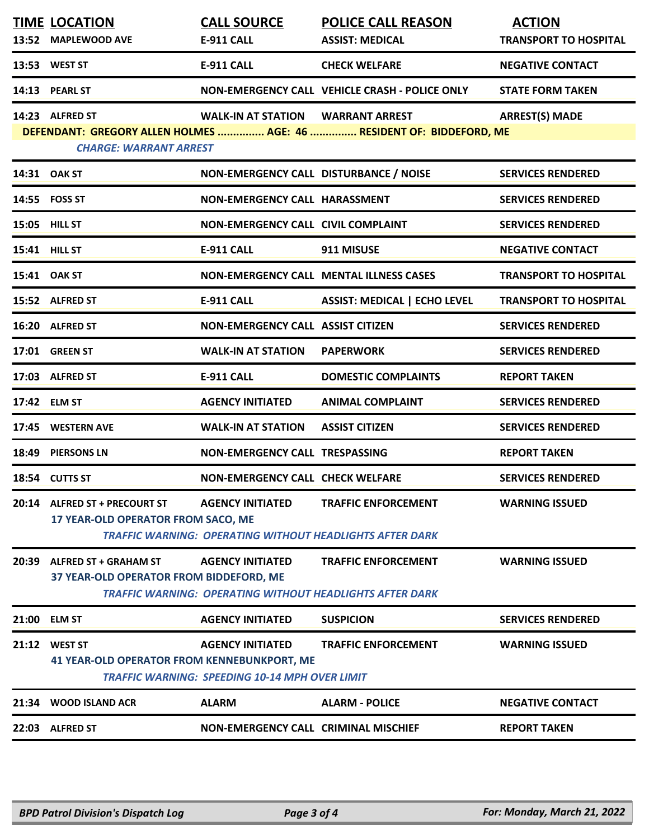|       | <b>TIME LOCATION</b><br>13:52 MAPLEWOOD AVE                             | <b>CALL SOURCE</b><br>E-911 CALL                                                 | <b>POLICE CALL REASON</b><br><b>ASSIST: MEDICAL</b>                                           | <b>ACTION</b><br><b>TRANSPORT TO HOSPITAL</b> |
|-------|-------------------------------------------------------------------------|----------------------------------------------------------------------------------|-----------------------------------------------------------------------------------------------|-----------------------------------------------|
|       | 13:53 WEST ST                                                           | <b>E-911 CALL</b>                                                                | <b>CHECK WELFARE</b>                                                                          | <b>NEGATIVE CONTACT</b>                       |
|       | 14:13 PEARL ST                                                          |                                                                                  | NON-EMERGENCY CALL VEHICLE CRASH - POLICE ONLY                                                | <b>STATE FORM TAKEN</b>                       |
|       | 14:23 ALFRED ST<br><b>CHARGE: WARRANT ARREST</b>                        | WALK-IN AT STATION WARRANT ARREST                                                | DEFENDANT: GREGORY ALLEN HOLMES  AGE: 46  RESIDENT OF: BIDDEFORD, ME                          | <b>ARREST(S) MADE</b>                         |
|       | 14:31 OAK ST                                                            | NON-EMERGENCY CALL DISTURBANCE / NOISE                                           |                                                                                               | <b>SERVICES RENDERED</b>                      |
|       | 14:55 FOSS ST                                                           | NON-EMERGENCY CALL HARASSMENT                                                    |                                                                                               | <b>SERVICES RENDERED</b>                      |
|       | 15:05 HILL ST                                                           | <b>NON-EMERGENCY CALL CIVIL COMPLAINT</b>                                        |                                                                                               | <b>SERVICES RENDERED</b>                      |
|       | 15:41 HILL ST                                                           | <b>E-911 CALL</b>                                                                | 911 MISUSE                                                                                    | <b>NEGATIVE CONTACT</b>                       |
|       | 15:41 OAK ST                                                            |                                                                                  | NON-EMERGENCY CALL MENTAL ILLNESS CASES                                                       | <b>TRANSPORT TO HOSPITAL</b>                  |
|       | 15:52 ALFRED ST                                                         | <b>E-911 CALL</b>                                                                | <b>ASSIST: MEDICAL   ECHO LEVEL</b>                                                           | <b>TRANSPORT TO HOSPITAL</b>                  |
|       | 16:20 ALFRED ST                                                         | <b>NON-EMERGENCY CALL ASSIST CITIZEN</b>                                         |                                                                                               | <b>SERVICES RENDERED</b>                      |
|       | 17:01 GREEN ST                                                          | <b>WALK-IN AT STATION</b>                                                        | <b>PAPERWORK</b>                                                                              | <b>SERVICES RENDERED</b>                      |
|       | 17:03 ALFRED ST                                                         | <b>E-911 CALL</b>                                                                | <b>DOMESTIC COMPLAINTS</b>                                                                    | <b>REPORT TAKEN</b>                           |
|       | 17:42 ELM ST                                                            | <b>AGENCY INITIATED</b>                                                          | <b>ANIMAL COMPLAINT</b>                                                                       | <b>SERVICES RENDERED</b>                      |
|       | 17:45 WESTERN AVE                                                       | <b>WALK-IN AT STATION</b>                                                        | <b>ASSIST CITIZEN</b>                                                                         | <b>SERVICES RENDERED</b>                      |
|       | 18:49 PIERSONS LN                                                       | <b>NON-EMERGENCY CALL TRESPASSING</b>                                            |                                                                                               | <b>REPORT TAKEN</b>                           |
|       | 18:54 CUTTS ST                                                          | <b>NON-EMERGENCY CALL CHECK WELFARE</b>                                          |                                                                                               | <b>SERVICES RENDERED</b>                      |
|       | 20:14 ALFRED ST + PRECOURT ST<br>17 YEAR-OLD OPERATOR FROM SACO, ME     | <b>AGENCY INITIATED</b>                                                          | <b>TRAFFIC ENFORCEMENT</b><br><b>TRAFFIC WARNING: OPERATING WITHOUT HEADLIGHTS AFTER DARK</b> | <b>WARNING ISSUED</b>                         |
| 20:39 | <b>ALFRED ST + GRAHAM ST</b><br>37 YEAR-OLD OPERATOR FROM BIDDEFORD, ME | <b>AGENCY INITIATED</b>                                                          | <b>TRAFFIC ENFORCEMENT</b><br><b>TRAFFIC WARNING: OPERATING WITHOUT HEADLIGHTS AFTER DARK</b> | <b>WARNING ISSUED</b>                         |
|       | 21:00 ELM ST                                                            | <b>AGENCY INITIATED</b>                                                          | <b>SUSPICION</b>                                                                              | <b>SERVICES RENDERED</b>                      |
|       | 21:12 WEST ST<br><b>41 YEAR-OLD OPERATOR FROM KENNEBUNKPORT, ME</b>     | <b>AGENCY INITIATED</b><br><b>TRAFFIC WARNING: SPEEDING 10-14 MPH OVER LIMIT</b> | <b>TRAFFIC ENFORCEMENT</b>                                                                    | <b>WARNING ISSUED</b>                         |
|       | 21:34 WOOD ISLAND ACR                                                   | <b>ALARM</b>                                                                     | <b>ALARM - POLICE</b>                                                                         | <b>NEGATIVE CONTACT</b>                       |
|       | 22:03 ALFRED ST                                                         | NON-EMERGENCY CALL CRIMINAL MISCHIEF                                             |                                                                                               | <b>REPORT TAKEN</b>                           |
|       |                                                                         |                                                                                  |                                                                                               |                                               |